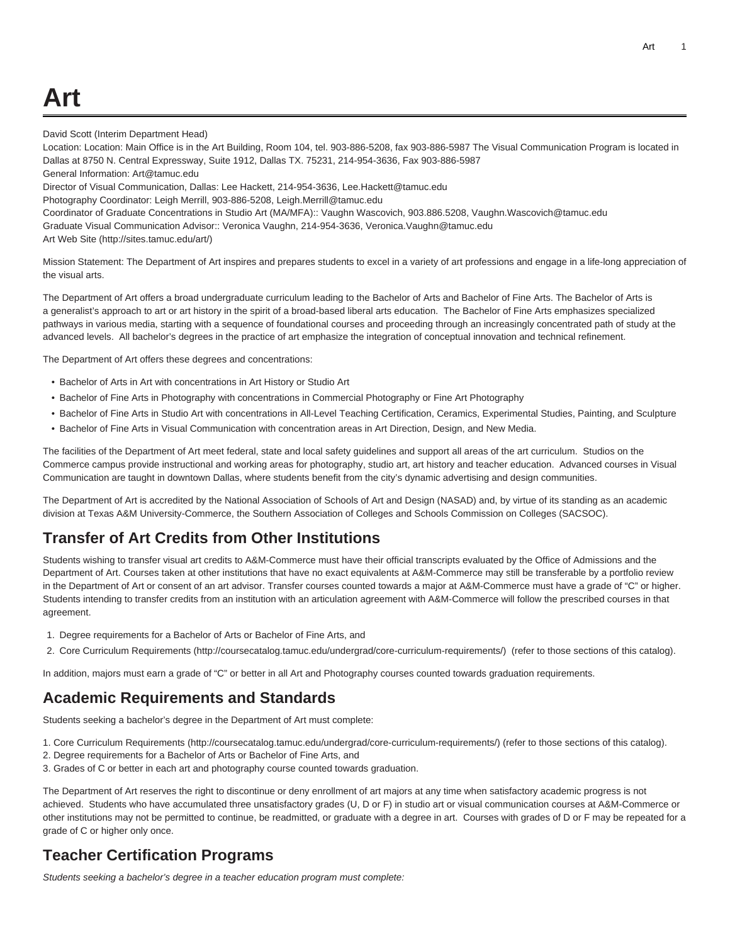David Scott (Interim Department Head)

Location: Location: Main Office is in the Art Building, Room 104, tel. 903-886-5208, fax 903-886-5987 The Visual Communication Program is located in Dallas at 8750 N. Central Expressway, Suite 1912, Dallas TX. 75231, 214-954-3636, Fax 903-886-5987 General Information: [Art@tamuc.edu](mailto:Art@tamuc.edu)

Director of Visual Communication, Dallas: Lee Hackett, 214-954-3636, [Lee.Hackett@tamuc.edu](mailto:Lee.Hackett@tamuc.edu)

Photography Coordinator: Leigh Merrill, 903-886-5208, [Leigh.Merrill@tamuc.edu](mailto:Leigh.Merrill@tamuc.edu)

Coordinator of Graduate Concentrations in Studio Art (MA/MFA):: Vaughn Wascovich, 903.886.5208, [Vaughn.Wascovich@tamuc.edu](mailto:Vaughn.Wascovich@tamuc.edu)

Graduate Visual Communication Advisor:: Veronica Vaughn, 214-954-3636, [Veronica.Vaughn@tamuc.edu](mailto:Veronica.Vaughn@tamuc.edu)

[Art Web Site](http://sites.tamuc.edu/art/) ([http://sites.tamuc.edu/art/\)](http://sites.tamuc.edu/art/)

Mission Statement: The Department of Art inspires and prepares students to excel in a variety of art professions and engage in a life-long appreciation of the visual arts.

The Department of Art offers a broad undergraduate curriculum leading to the Bachelor of Arts and Bachelor of Fine Arts. The Bachelor of Arts is a generalist's approach to art or art history in the spirit of a broad-based liberal arts education. The Bachelor of Fine Arts emphasizes specialized pathways in various media, starting with a sequence of foundational courses and proceeding through an increasingly concentrated path of study at the advanced levels. All bachelor's degrees in the practice of art emphasize the integration of conceptual innovation and technical refinement.

The Department of Art offers these degrees and concentrations:

- Bachelor of Arts in Art with concentrations in Art History or Studio Art
- Bachelor of Fine Arts in Photography with concentrations in Commercial Photography or Fine Art Photography
- Bachelor of Fine Arts in Studio Art with concentrations in All-Level Teaching Certification, Ceramics, Experimental Studies, Painting, and Sculpture
- Bachelor of Fine Arts in Visual Communication with concentration areas in Art Direction, Design, and New Media.

The facilities of the Department of Art meet federal, state and local safety guidelines and support all areas of the art curriculum. Studios on the Commerce campus provide instructional and working areas for photography, studio art, art history and teacher education. Advanced courses in Visual Communication are taught in downtown Dallas, where students benefit from the city's dynamic advertising and design communities.

The Department of Art is accredited by the National Association of Schools of Art and Design (NASAD) and, by virtue of its standing as an academic division at Texas A&M University-Commerce, the Southern Association of Colleges and Schools Commission on Colleges (SACSOC).

## **Transfer of Art Credits from Other Institutions**

Students wishing to transfer visual art credits to A&M-Commerce must have their official transcripts evaluated by the Office of Admissions and the Department of Art. Courses taken at other institutions that have no exact equivalents at A&M-Commerce may still be transferable by a portfolio review in the Department of Art or consent of an art advisor. Transfer courses counted towards a major at A&M-Commerce must have a grade of "C" or higher. Students intending to transfer credits from an institution with an articulation agreement with A&M-Commerce will follow the prescribed courses in that agreement.

- 1. Degree requirements for a Bachelor of Arts or Bachelor of Fine Arts, and
- 2. [Core Curriculum Requirements](http://coursecatalog.tamuc.edu/undergrad/core-curriculum-requirements/) [\(http://coursecatalog.tamuc.edu/undergrad/core-curriculum-requirements/](http://coursecatalog.tamuc.edu/undergrad/core-curriculum-requirements/)) (refer to those sections of this catalog).

In addition, majors must earn a grade of "C" or better in all Art and Photography courses counted towards graduation requirements.

## **Academic Requirements and Standards**

Students seeking a bachelor's degree in the Department of Art must complete:

- 1. [Core Curriculum Requirements](http://coursecatalog.tamuc.edu/undergrad/core-curriculum-requirements/) [\(http://coursecatalog.tamuc.edu/undergrad/core-curriculum-requirements/](http://coursecatalog.tamuc.edu/undergrad/core-curriculum-requirements/)) (refer to those sections of this catalog).
- 2. Degree requirements for a Bachelor of Arts or Bachelor of Fine Arts, and
- 3. Grades of C or better in each art and photography course counted towards graduation.

The Department of Art reserves the right to discontinue or deny enrollment of art majors at any time when satisfactory academic progress is not achieved. Students who have accumulated three unsatisfactory grades (U, D or F) in studio art or visual communication courses at A&M-Commerce or other institutions may not be permitted to continue, be readmitted, or graduate with a degree in art. Courses with grades of D or F may be repeated for a grade of C or higher only once.

## **Teacher Certification Programs**

Students seeking a bachelor's degree in a teacher education program must complete: